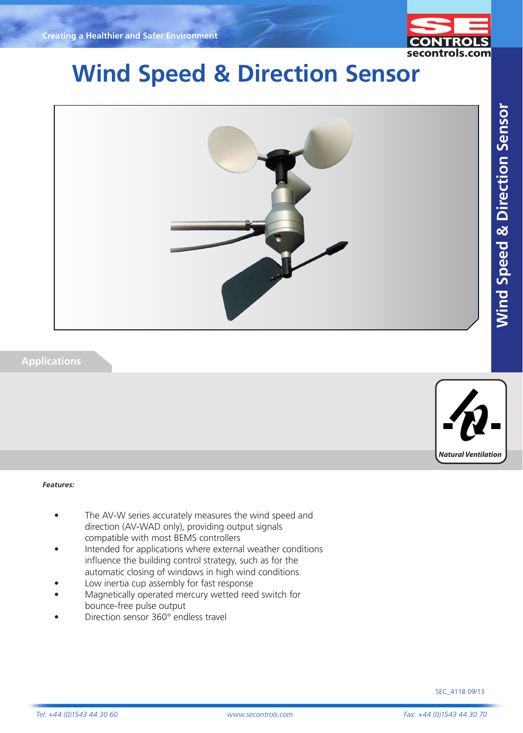

# **Wind Speed & Direction Sensor**



## **Applications**



#### *Features:*

- The AV-W series accurately measures the wind speed and direction (AV-WAD only), providing output signals compatible with most BEMS controllers
- Intended for applications where external weather conditions influence the building control strategy, such as for the automatic closing of windows in high wind conditions.
- Low inertia cup assembly for fast response
- Magnetically operated mercury wetted reed switch for bounce-free pulse output
- Direction sensor 360° endless travel

SEC\_4118 09/13